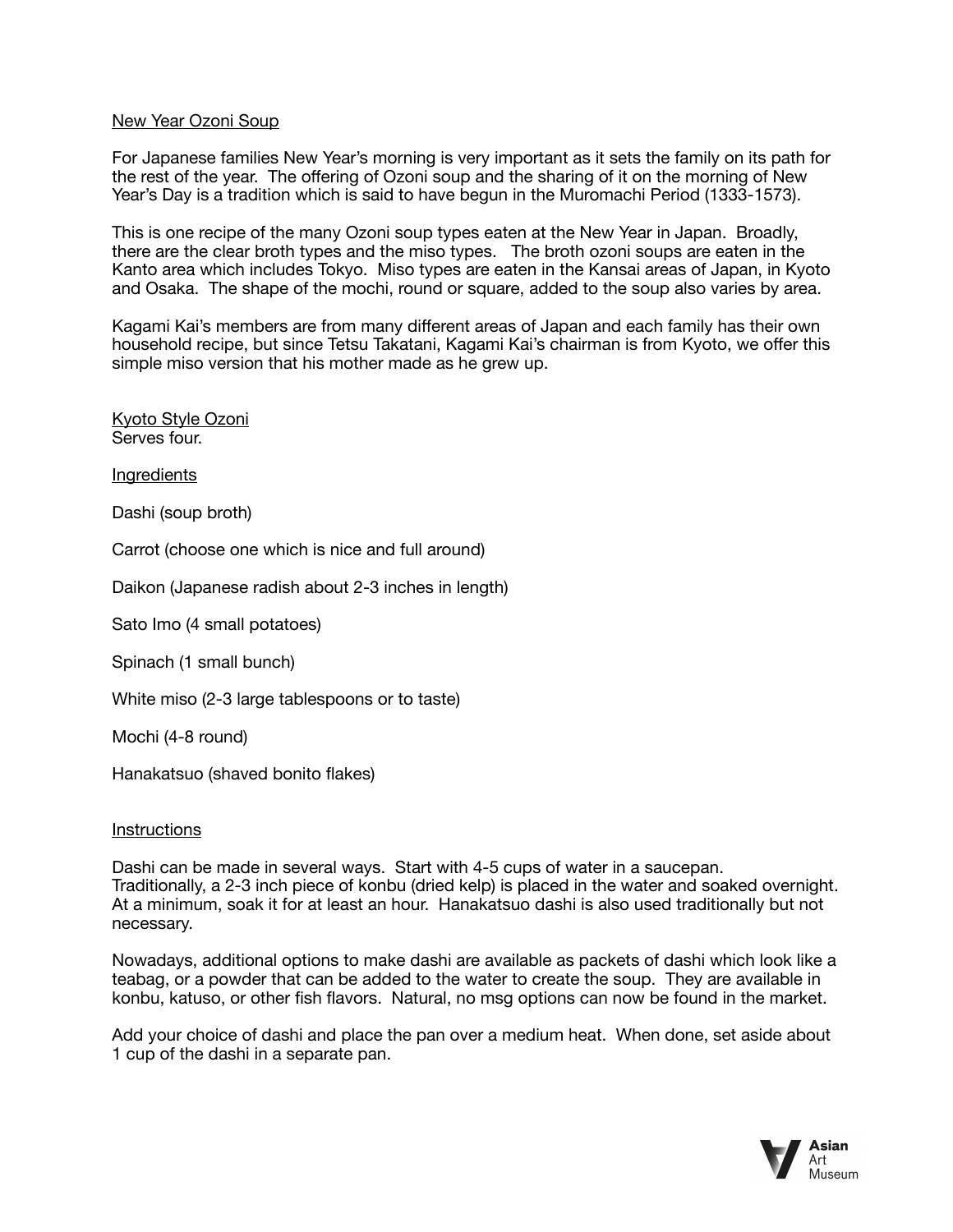## New Year Ozoni Soup

For Japanese families New Year's morning is very important as it sets the family on its path for the rest of the year. The offering of Ozoni soup and the sharing of it on the morning of New Year's Day is a tradition which is said to have begun in the Muromachi Period (1333-1573).

This is one recipe of the many Ozoni soup types eaten at the New Year in Japan. Broadly, there are the clear broth types and the miso types. The broth ozoni soups are eaten in the Kanto area which includes Tokyo. Miso types are eaten in the Kansai areas of Japan, in Kyoto and Osaka. The shape of the mochi, round or square, added to the soup also varies by area.

Kagami Kai's members are from many different areas of Japan and each family has their own household recipe, but since Tetsu Takatani, Kagami Kai's chairman is from Kyoto, we offer this simple miso version that his mother made as he grew up.

Kyoto Style Ozoni Serves four.

Ingredients

Dashi (soup broth)

Carrot (choose one which is nice and full around)

Daikon (Japanese radish about 2-3 inches in length)

Sato Imo (4 small potatoes)

Spinach (1 small bunch)

White miso (2-3 large tablespoons or to taste)

Mochi (4-8 round)

Hanakatsuo (shaved bonito flakes)

## **Instructions**

Dashi can be made in several ways. Start with 4-5 cups of water in a saucepan. Traditionally, a 2-3 inch piece of konbu (dried kelp) is placed in the water and soaked overnight. At a minimum, soak it for at least an hour. Hanakatsuo dashi is also used traditionally but not necessary.

Nowadays, additional options to make dashi are available as packets of dashi which look like a teabag, or a powder that can be added to the water to create the soup. They are available in konbu, katuso, or other fish flavors. Natural, no msg options can now be found in the market.

Add your choice of dashi and place the pan over a medium heat. When done, set aside about 1 cup of the dashi in a separate pan.